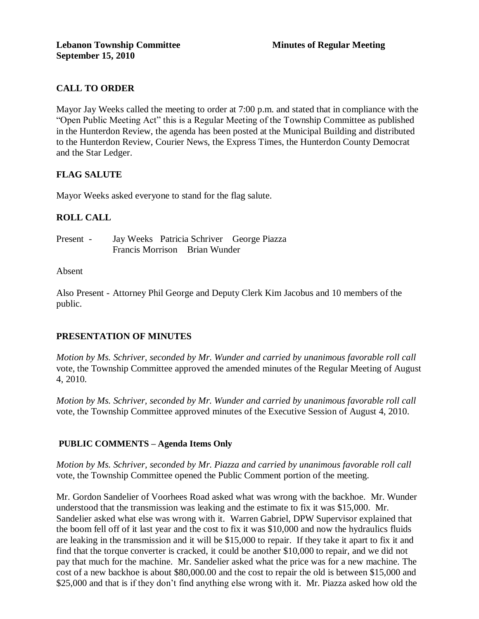# **CALL TO ORDER**

Mayor Jay Weeks called the meeting to order at 7:00 p.m. and stated that in compliance with the "Open Public Meeting Act" this is a Regular Meeting of the Township Committee as published in the Hunterdon Review, the agenda has been posted at the Municipal Building and distributed to the Hunterdon Review, Courier News, the Express Times, the Hunterdon County Democrat and the Star Ledger.

# **FLAG SALUTE**

Mayor Weeks asked everyone to stand for the flag salute.

# **ROLL CALL**

Present - Jay Weeks Patricia Schriver George Piazza Francis Morrison Brian Wunder

#### Absent

Also Present - Attorney Phil George and Deputy Clerk Kim Jacobus and 10 members of the public.

# **PRESENTATION OF MINUTES**

*Motion by Ms. Schriver, seconded by Mr. Wunder and carried by unanimous favorable roll call*  vote, the Township Committee approved the amended minutes of the Regular Meeting of August 4, 2010.

*Motion by Ms. Schriver, seconded by Mr. Wunder and carried by unanimous favorable roll call*  vote, the Township Committee approved minutes of the Executive Session of August 4, 2010.

# **PUBLIC COMMENTS – Agenda Items Only**

*Motion by Ms. Schriver, seconded by Mr. Piazza and carried by unanimous favorable roll call* vote, the Township Committee opened the Public Comment portion of the meeting.

Mr. Gordon Sandelier of Voorhees Road asked what was wrong with the backhoe. Mr. Wunder understood that the transmission was leaking and the estimate to fix it was \$15,000. Mr. Sandelier asked what else was wrong with it. Warren Gabriel, DPW Supervisor explained that the boom fell off of it last year and the cost to fix it was \$10,000 and now the hydraulics fluids are leaking in the transmission and it will be \$15,000 to repair. If they take it apart to fix it and find that the torque converter is cracked, it could be another \$10,000 to repair, and we did not pay that much for the machine. Mr. Sandelier asked what the price was for a new machine. The cost of a new backhoe is about \$80,000.00 and the cost to repair the old is between \$15,000 and \$25,000 and that is if they don't find anything else wrong with it. Mr. Piazza asked how old the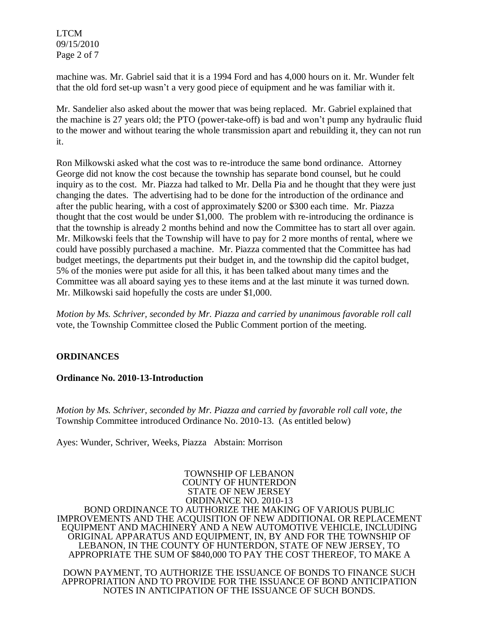LTCM 09/15/2010 Page 2 of 7

machine was. Mr. Gabriel said that it is a 1994 Ford and has 4,000 hours on it. Mr. Wunder felt that the old ford set-up wasn't a very good piece of equipment and he was familiar with it.

Mr. Sandelier also asked about the mower that was being replaced. Mr. Gabriel explained that the machine is 27 years old; the PTO (power-take-off) is bad and won't pump any hydraulic fluid to the mower and without tearing the whole transmission apart and rebuilding it, they can not run it.

Ron Milkowski asked what the cost was to re-introduce the same bond ordinance. Attorney George did not know the cost because the township has separate bond counsel, but he could inquiry as to the cost. Mr. Piazza had talked to Mr. Della Pia and he thought that they were just changing the dates. The advertising had to be done for the introduction of the ordinance and after the public hearing, with a cost of approximately \$200 or \$300 each time. Mr. Piazza thought that the cost would be under \$1,000. The problem with re-introducing the ordinance is that the township is already 2 months behind and now the Committee has to start all over again. Mr. Milkowski feels that the Township will have to pay for 2 more months of rental, where we could have possibly purchased a machine. Mr. Piazza commented that the Committee has had budget meetings, the departments put their budget in, and the township did the capitol budget, 5% of the monies were put aside for all this, it has been talked about many times and the Committee was all aboard saying yes to these items and at the last minute it was turned down. Mr. Milkowski said hopefully the costs are under \$1,000.

*Motion by Ms. Schriver, seconded by Mr. Piazza and carried by unanimous favorable roll call*  vote, the Township Committee closed the Public Comment portion of the meeting.

# **ORDINANCES**

#### **Ordinance No. 2010-13-Introduction**

*Motion by Ms. Schriver, seconded by Mr. Piazza and carried by favorable roll call vote, the*  Township Committee introduced Ordinance No. 2010-13. (As entitled below)

Ayes: Wunder, Schriver, Weeks, Piazza Abstain: Morrison

TOWNSHIP OF LEBANON COUNTY OF HUNTERDON STATE OF NEW JERSEY ORDINANCE NO. 2010-13 BOND ORDINANCE TO AUTHORIZE THE MAKING OF VARIOUS PUBLIC IMPROVEMENTS AND THE ACQUISITION OF NEW ADDITIONAL OR REPLACEMENT EQUIPMENT AND MACHINERY AND A NEW AUTOMOTIVE VEHICLE, INCLUDING ORIGINAL APPARATUS AND EQUIPMENT, IN, BY AND FOR THE TOWNSHIP OF LEBANON, IN THE COUNTY OF HUNTERDON, STATE OF NEW JERSEY, TO APPROPRIATE THE SUM OF \$840,000 TO PAY THE COST THEREOF, TO MAKE A

DOWN PAYMENT, TO AUTHORIZE THE ISSUANCE OF BONDS TO FINANCE SUCH APPROPRIATION AND TO PROVIDE FOR THE ISSUANCE OF BOND ANTICIPATION NOTES IN ANTICIPATION OF THE ISSUANCE OF SUCH BONDS.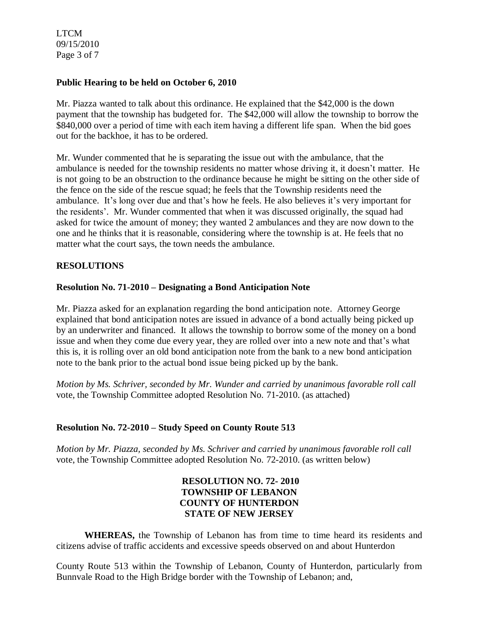LTCM 09/15/2010 Page 3 of 7

#### **Public Hearing to be held on October 6, 2010**

Mr. Piazza wanted to talk about this ordinance. He explained that the \$42,000 is the down payment that the township has budgeted for. The \$42,000 will allow the township to borrow the \$840,000 over a period of time with each item having a different life span. When the bid goes out for the backhoe, it has to be ordered.

Mr. Wunder commented that he is separating the issue out with the ambulance, that the ambulance is needed for the township residents no matter whose driving it, it doesn't matter. He is not going to be an obstruction to the ordinance because he might be sitting on the other side of the fence on the side of the rescue squad; he feels that the Township residents need the ambulance. It's long over due and that's how he feels. He also believes it's very important for the residents'. Mr. Wunder commented that when it was discussed originally, the squad had asked for twice the amount of money; they wanted 2 ambulances and they are now down to the one and he thinks that it is reasonable, considering where the township is at. He feels that no matter what the court says, the town needs the ambulance.

#### **RESOLUTIONS**

#### **Resolution No. 71-2010 – Designating a Bond Anticipation Note**

Mr. Piazza asked for an explanation regarding the bond anticipation note. Attorney George explained that bond anticipation notes are issued in advance of a bond actually being picked up by an underwriter and financed. It allows the township to borrow some of the money on a bond issue and when they come due every year, they are rolled over into a new note and that's what this is, it is rolling over an old bond anticipation note from the bank to a new bond anticipation note to the bank prior to the actual bond issue being picked up by the bank.

*Motion by Ms. Schriver, seconded by Mr. Wunder and carried by unanimous favorable roll call*  vote, the Township Committee adopted Resolution No. 71-2010. (as attached)

# **Resolution No. 72-2010 – Study Speed on County Route 513**

*Motion by Mr. Piazza, seconded by Ms. Schriver and carried by unanimous favorable roll call*  vote, the Township Committee adopted Resolution No. 72-2010. (as written below)

# **RESOLUTION NO. 72- 2010 TOWNSHIP OF LEBANON COUNTY OF HUNTERDON STATE OF NEW JERSEY**

**WHEREAS,** the Township of Lebanon has from time to time heard its residents and citizens advise of traffic accidents and excessive speeds observed on and about Hunterdon

County Route 513 within the Township of Lebanon, County of Hunterdon, particularly from Bunnvale Road to the High Bridge border with the Township of Lebanon; and,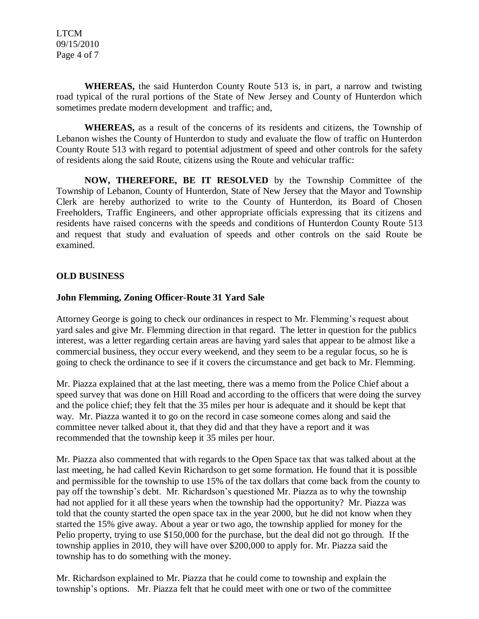LTCM 09/15/2010 Page 4 of 7

**WHEREAS,** the said Hunterdon County Route 513 is, in part, a narrow and twisting road typical of the rural portions of the State of New Jersey and County of Hunterdon which sometimes predate modern development and traffic; and,

**WHEREAS,** as a result of the concerns of its residents and citizens, the Township of Lebanon wishes the County of Hunterdon to study and evaluate the flow of traffic on Hunterdon County Route 513 with regard to potential adjustment of speed and other controls for the safety of residents along the said Route, citizens using the Route and vehicular traffic:

**NOW, THEREFORE, BE IT RESOLVED** by the Township Committee of the Township of Lebanon, County of Hunterdon, State of New Jersey that the Mayor and Township Clerk are hereby authorized to write to the County of Hunterdon, its Board of Chosen Freeholders, Traffic Engineers, and other appropriate officials expressing that its citizens and residents have raised concerns with the speeds and conditions of Hunterdon County Route 513 and request that study and evaluation of speeds and other controls on the said Route be examined.

#### **OLD BUSINESS**

#### **John Flemming, Zoning Officer-Route 31 Yard Sale**

Attorney George is going to check our ordinances in respect to Mr. Flemming's request about yard sales and give Mr. Flemming direction in that regard. The letter in question for the publics interest, was a letter regarding certain areas are having yard sales that appear to be almost like a commercial business, they occur every weekend, and they seem to be a regular focus, so he is going to check the ordinance to see if it covers the circumstance and get back to Mr. Flemming.

Mr. Piazza explained that at the last meeting, there was a memo from the Police Chief about a speed survey that was done on Hill Road and according to the officers that were doing the survey and the police chief; they felt that the 35 miles per hour is adequate and it should be kept that way. Mr. Piazza wanted it to go on the record in case someone comes along and said the committee never talked about it, that they did and that they have a report and it was recommended that the township keep it 35 miles per hour.

Mr. Piazza also commented that with regards to the Open Space tax that was talked about at the last meeting, he had called Kevin Richardson to get some formation. He found that it is possible and permissible for the township to use 15% of the tax dollars that come back from the county to pay off the township's debt. Mr. Richardson's questioned Mr. Piazza as to why the township had not applied for it all these years when the township had the opportunity? Mr. Piazza was told that the county started the open space tax in the year 2000, but he did not know when they started the 15% give away. About a year or two ago, the township applied for money for the Pelio property, trying to use \$150,000 for the purchase, but the deal did not go through. If the township applies in 2010, they will have over \$200,000 to apply for. Mr. Piazza said the township has to do something with the money.

Mr. Richardson explained to Mr. Piazza that he could come to township and explain the township's options. Mr. Piazza felt that he could meet with one or two of the committee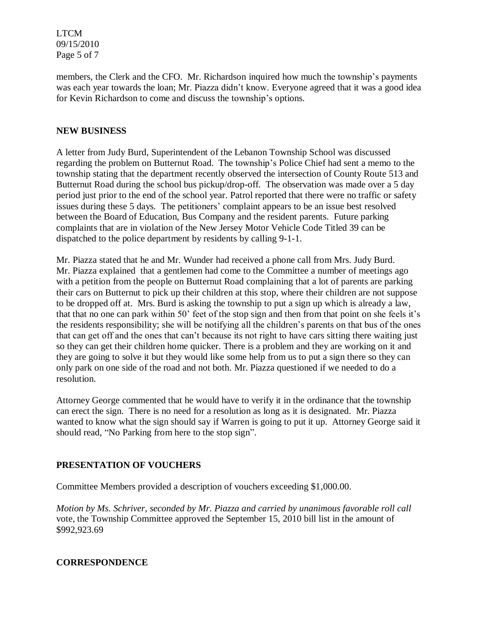LTCM 09/15/2010 Page 5 of 7

members, the Clerk and the CFO. Mr. Richardson inquired how much the township's payments was each year towards the loan; Mr. Piazza didn't know. Everyone agreed that it was a good idea for Kevin Richardson to come and discuss the township's options.

### **NEW BUSINESS**

A letter from Judy Burd, Superintendent of the Lebanon Township School was discussed regarding the problem on Butternut Road. The township's Police Chief had sent a memo to the township stating that the department recently observed the intersection of County Route 513 and Butternut Road during the school bus pickup/drop-off. The observation was made over a 5 day period just prior to the end of the school year. Patrol reported that there were no traffic or safety issues during these 5 days. The petitioners' complaint appears to be an issue best resolved between the Board of Education, Bus Company and the resident parents. Future parking complaints that are in violation of the New Jersey Motor Vehicle Code Titled 39 can be dispatched to the police department by residents by calling 9-1-1.

Mr. Piazza stated that he and Mr. Wunder had received a phone call from Mrs. Judy Burd. Mr. Piazza explained that a gentlemen had come to the Committee a number of meetings ago with a petition from the people on Butternut Road complaining that a lot of parents are parking their cars on Butternut to pick up their children at this stop, where their children are not suppose to be dropped off at. Mrs. Burd is asking the township to put a sign up which is already a law, that that no one can park within 50' feet of the stop sign and then from that point on she feels it's the residents responsibility; she will be notifying all the children's parents on that bus of the ones that can get off and the ones that can't because its not right to have cars sitting there waiting just so they can get their children home quicker. There is a problem and they are working on it and they are going to solve it but they would like some help from us to put a sign there so they can only park on one side of the road and not both. Mr. Piazza questioned if we needed to do a resolution.

Attorney George commented that he would have to verify it in the ordinance that the township can erect the sign. There is no need for a resolution as long as it is designated. Mr. Piazza wanted to know what the sign should say if Warren is going to put it up. Attorney George said it should read, "No Parking from here to the stop sign".

# **PRESENTATION OF VOUCHERS**

Committee Members provided a description of vouchers exceeding \$1,000.00.

*Motion by Ms. Schriver, seconded by Mr. Piazza and carried by unanimous favorable roll call*  vote, the Township Committee approved the September 15, 2010 bill list in the amount of \$992,923.69

#### **CORRESPONDENCE**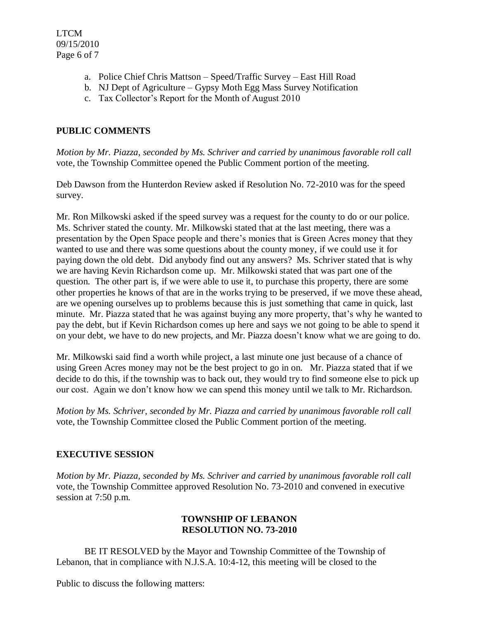- a. Police Chief Chris Mattson Speed/Traffic Survey East Hill Road
- b. NJ Dept of Agriculture Gypsy Moth Egg Mass Survey Notification
- c. Tax Collector's Report for the Month of August 2010

# **PUBLIC COMMENTS**

*Motion by Mr. Piazza, seconded by Ms. Schriver and carried by unanimous favorable roll call*  vote, the Township Committee opened the Public Comment portion of the meeting.

Deb Dawson from the Hunterdon Review asked if Resolution No. 72-2010 was for the speed survey.

Mr. Ron Milkowski asked if the speed survey was a request for the county to do or our police. Ms. Schriver stated the county. Mr. Milkowski stated that at the last meeting, there was a presentation by the Open Space people and there's monies that is Green Acres money that they wanted to use and there was some questions about the county money, if we could use it for paying down the old debt. Did anybody find out any answers? Ms. Schriver stated that is why we are having Kevin Richardson come up. Mr. Milkowski stated that was part one of the question. The other part is, if we were able to use it, to purchase this property, there are some other properties he knows of that are in the works trying to be preserved, if we move these ahead, are we opening ourselves up to problems because this is just something that came in quick, last minute. Mr. Piazza stated that he was against buying any more property, that's why he wanted to pay the debt, but if Kevin Richardson comes up here and says we not going to be able to spend it on your debt, we have to do new projects, and Mr. Piazza doesn't know what we are going to do.

Mr. Milkowski said find a worth while project, a last minute one just because of a chance of using Green Acres money may not be the best project to go in on. Mr. Piazza stated that if we decide to do this, if the township was to back out, they would try to find someone else to pick up our cost. Again we don't know how we can spend this money until we talk to Mr. Richardson.

*Motion by Ms. Schriver, seconded by Mr. Piazza and carried by unanimous favorable roll call*  vote, the Township Committee closed the Public Comment portion of the meeting.

# **EXECUTIVE SESSION**

*Motion by Mr. Piazza, seconded by Ms. Schriver and carried by unanimous favorable roll call*  vote, the Township Committee approved Resolution No. 73-2010 and convened in executive session at 7:50 p.m.

### **TOWNSHIP OF LEBANON RESOLUTION NO. 73-2010**

BE IT RESOLVED by the Mayor and Township Committee of the Township of Lebanon, that in compliance with N.J.S.A. 10:4-12, this meeting will be closed to the

Public to discuss the following matters: